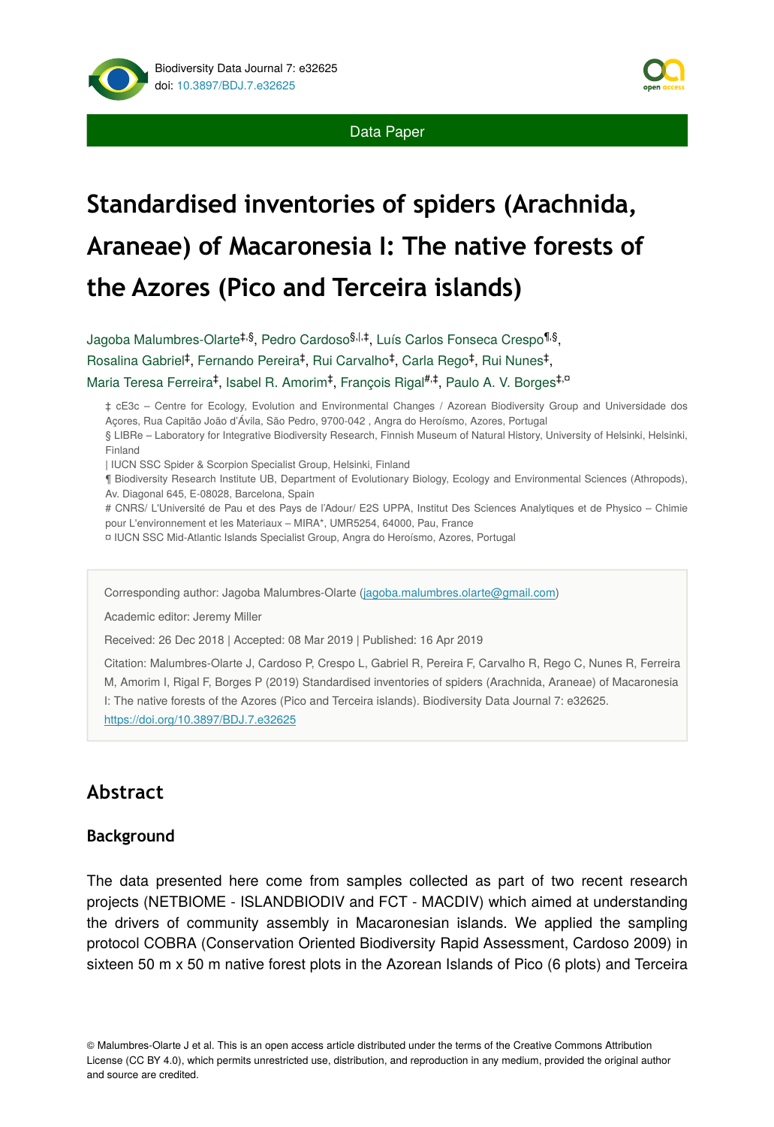



# **Standardised inventories of spiders (Arachnida, Araneae) of Macaronesia I: The native forests of the Azores (Pico and Terceira islands)**

Jagoba Malumbres-Olarte<sup>‡,§</sup>, Pedro Cardoso<sup>§,|,‡</sup>, Luís Carlos Fonseca Crespo<sup>¶,§</sup>, Rosalina Gabriel<sup>‡</sup>, Fernando Pereira<sup>‡</sup>, Rui Carvalho<sup>‡</sup>, Carla Rego<sup>‡</sup>, Rui Nunes<sup>‡</sup>, Maria Teresa Ferreira<sup>‡</sup>, Isabel R. Amorim<sup>‡</sup>, François Rigal<sup>#,‡</sup>, Paulo A. V. Borges<sup>‡,¤</sup>

‡ cE3c – Centre for Ecology, Evolution and Environmental Changes / Azorean Biodiversity Group and Universidade dos Açores, Rua Capitão João d'Ávila, São Pedro, 9700-042 , Angra do Heroísmo, Azores, Portugal

§ LIBRe – Laboratory for Integrative Biodiversity Research, Finnish Museum of Natural History, University of Helsinki, Helsinki, Finland

| IUCN SSC Spider & Scorpion Specialist Group, Helsinki, Finland

¶ Biodiversity Research Institute UB, Department of Evolutionary Biology, Ecology and Environmental Sciences (Athropods), Av. Diagonal 645, E-08028, Barcelona, Spain

# CNRS/ L'Université de Pau et des Pays de l'Adour/ E2S UPPA, Institut Des Sciences Analytiques et de Physico – Chimie pour L'environnement et les Materiaux – MIRA\*, UMR5254, 64000, Pau, France

¤ IUCN SSC Mid-Atlantic Islands Specialist Group, Angra do Heroísmo, Azores, Portugal

Corresponding author: Jagoba Malumbres-Olarte [\(jagoba.malumbres.olarte@gmail.com](mailto:jagoba.malumbres.olarte@gmail.com))

Academic editor: Jeremy Miller

Received: 26 Dec 2018 | Accepted: 08 Mar 2019 | Published: 16 Apr 2019

Citation: Malumbres-Olarte J, Cardoso P, Crespo L, Gabriel R, Pereira F, Carvalho R, Rego C, Nunes R, Ferreira M, Amorim I, Rigal F, Borges P (2019) Standardised inventories of spiders (Arachnida, Araneae) of Macaronesia I: The native forests of the Azores (Pico and Terceira islands). Biodiversity Data Journal 7: e32625. <https://doi.org/10.3897/BDJ.7.e32625>

# **Abstract**

#### **Background**

The data presented here come from samples collected as part of two recent research projects (NETBIOME - ISLANDBIODIV and FCT - MACDIV) which aimed at understanding the drivers of community assembly in Macaronesian islands. We applied the sampling protocol COBRA (Conservation Oriented Biodiversity Rapid Assessment, Cardoso 2009) in sixteen 50 m x 50 m native forest plots in the Azorean Islands of Pico (6 plots) and Terceira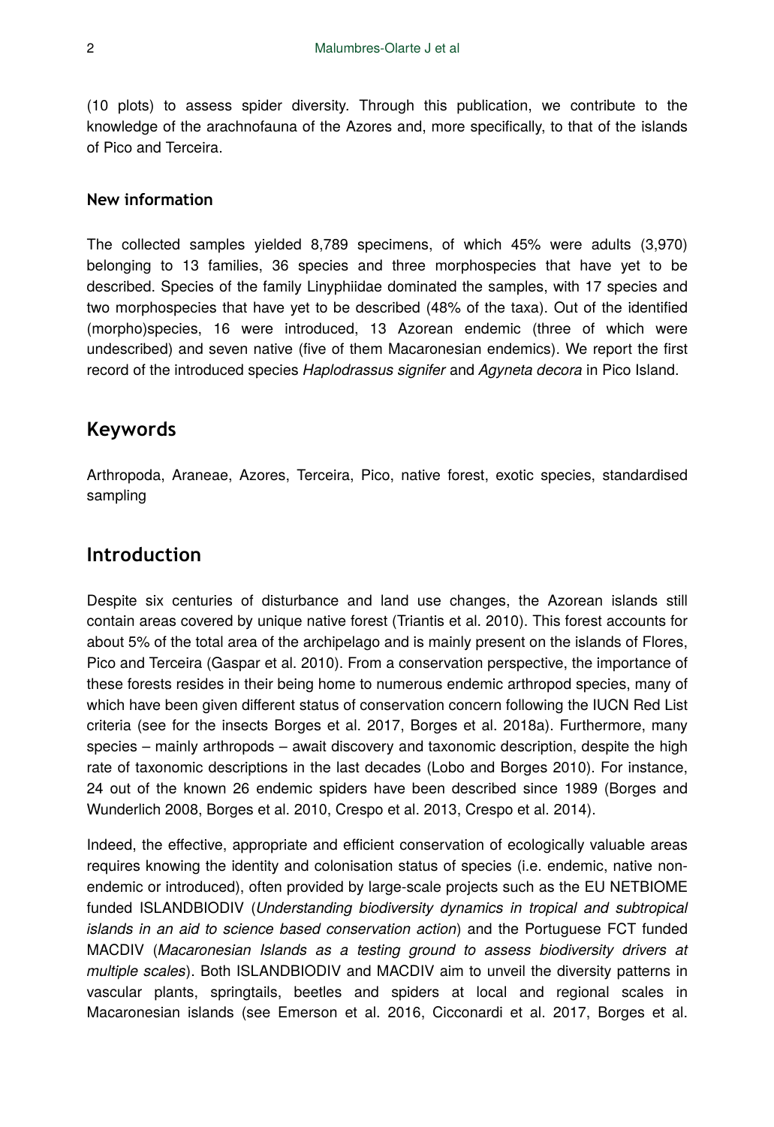(10 plots) to assess spider diversity. Through this publication, we contribute to the knowledge of the arachnofauna of the Azores and, more specifically, to that of the islands of Pico and Terceira.

#### **New information**

The collected samples yielded 8,789 specimens, of which 45% were adults (3,970) belonging to 13 families, 36 species and three morphospecies that have yet to be described. Species of the family Linyphiidae dominated the samples, with 17 species and two morphospecies that have yet to be described (48% of the taxa). Out of the identified (morpho)species, 16 were introduced, 13 Azorean endemic (three of which were undescribed) and seven native (five of them Macaronesian endemics). We report the first record of the introduced species *Haplodrassus signifer* and *Agyneta decora* in Pico Island.

## **Keywords**

Arthropoda, Araneae, Azores, Terceira, Pico, native forest, exotic species, standardised sampling

# **Introduction**

Despite six centuries of disturbance and land use changes, the Azorean islands still contain areas covered by unique native forest (Triantis et al. 2010). This forest accounts for about 5% of the total area of the archipelago and is mainly present on the islands of Flores, Pico and Terceira (Gaspar et al. 2010). From a conservation perspective, the importance of these forests resides in their being home to numerous endemic arthropod species, many of which have been given different status of conservation concern following the IUCN Red List criteria (see for the insects Borges et al. 2017, Borges et al. 2018a). Furthermore, many species – mainly arthropods – await discovery and taxonomic description, despite the high rate of taxonomic descriptions in the last decades (Lobo and Borges 2010). For instance, 24 out of the known 26 endemic spiders have been described since 1989 (Borges and Wunderlich 2008, Borges et al. 2010, Crespo et al. 2013, Crespo et al. 2014).

Indeed, the effective, appropriate and efficient conservation of ecologically valuable areas requires knowing the identity and colonisation status of species (i.e. endemic, native nonendemic or introduced), often provided by large-scale projects such as the EU NETBIOME funded ISLANDBIODIV (*Understanding biodiversity dynamics in tropical and subtropical islands in an aid to science based conservation action*) and the Portuguese FCT funded MACDIV (*Macaronesian Islands as a testing ground to assess biodiversity drivers at multiple scales*). Both ISLANDBIODIV and MACDIV aim to unveil the diversity patterns in vascular plants, springtails, beetles and spiders at local and regional scales in Macaronesian islands (see Emerson et al. 2016, Cicconardi et al. 2017, Borges et al.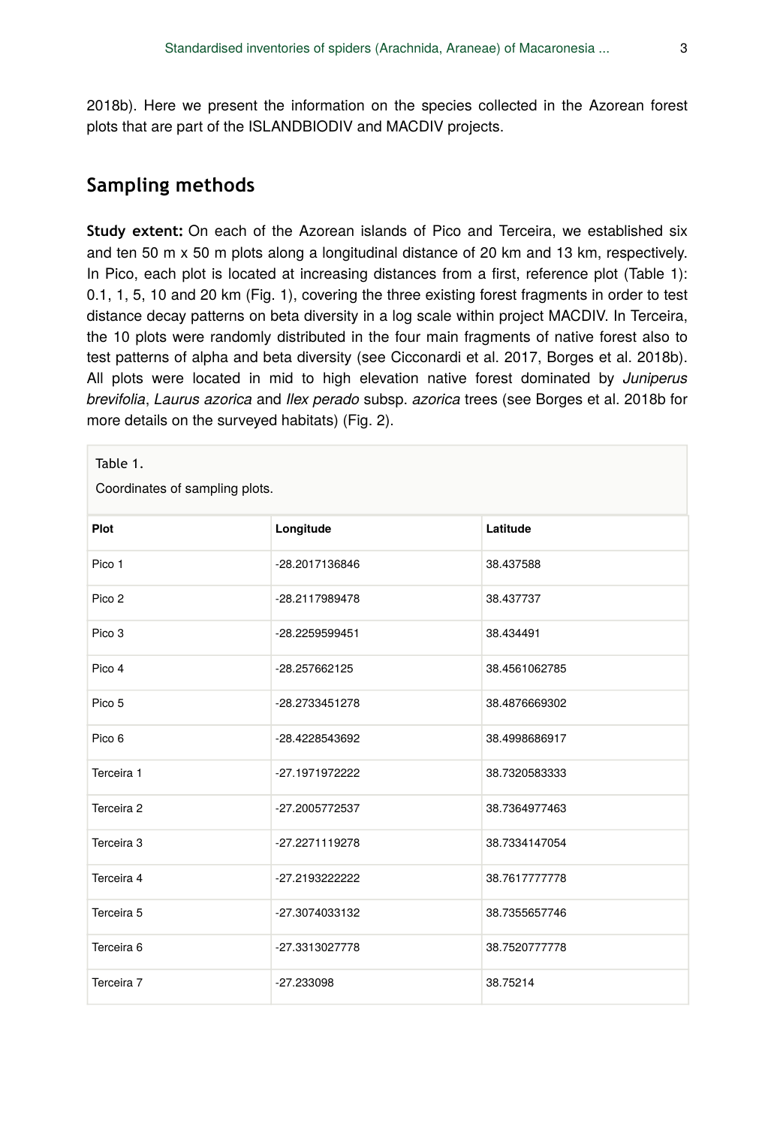2018b). Here we present the information on the species collected in the Azorean forest plots that are part of the ISLANDBIODIV and MACDIV projects.

# **Sampling methods**

**Study extent:** On each of the Azorean islands of Pico and Terceira, we established six and ten 50 m x 50 m plots along a longitudinal distance of 20 km and 13 km, respectively. In Pico, each plot is located at increasing distances from a first, reference plot (Table 1): 0.1, 1, 5, 10 and 20 km (Fig. 1), covering the three existing forest fragments in order to test distance decay patterns on beta diversity in a log scale within project MACDIV. In Terceira, the 10 plots were randomly distributed in the four main fragments of native forest also to test patterns of alpha and beta diversity (see Cicconardi et al. 2017, Borges et al. 2018b). All plots were located in mid to high elevation native forest dominated by *Juniperus brevifolia*, *Laurus azorica* and *Ilex perado* subsp. *azorica* trees (see Borges et al. 2018b for more details on the surveyed habitats) (Fig. 2).

| Table 1.<br>Coordinates of sampling plots. |                |               |  |  |  |  |  |  |  |
|--------------------------------------------|----------------|---------------|--|--|--|--|--|--|--|
| Plot                                       | Longitude      | Latitude      |  |  |  |  |  |  |  |
| Pico 1                                     | -28.2017136846 | 38.437588     |  |  |  |  |  |  |  |
| Pico 2                                     | -28.2117989478 | 38.437737     |  |  |  |  |  |  |  |
| Pico 3                                     | -28.2259599451 | 38.434491     |  |  |  |  |  |  |  |
| Pico 4                                     | -28.257662125  | 38.4561062785 |  |  |  |  |  |  |  |
| Pico 5                                     | -28.2733451278 | 38.4876669302 |  |  |  |  |  |  |  |
| Pico 6                                     | -28.4228543692 | 38.4998686917 |  |  |  |  |  |  |  |
| Terceira 1                                 | -27.1971972222 | 38.7320583333 |  |  |  |  |  |  |  |
| Terceira 2                                 | -27.2005772537 | 38.7364977463 |  |  |  |  |  |  |  |
| Terceira 3                                 | -27.2271119278 | 38.7334147054 |  |  |  |  |  |  |  |
| Terceira 4                                 | -27.2193222222 | 38.7617777778 |  |  |  |  |  |  |  |
| Terceira 5                                 | -27.3074033132 | 38.7355657746 |  |  |  |  |  |  |  |
| Terceira <sub>6</sub>                      | -27.3313027778 | 38.7520777778 |  |  |  |  |  |  |  |
| Terceira 7                                 | $-27.233098$   | 38.75214      |  |  |  |  |  |  |  |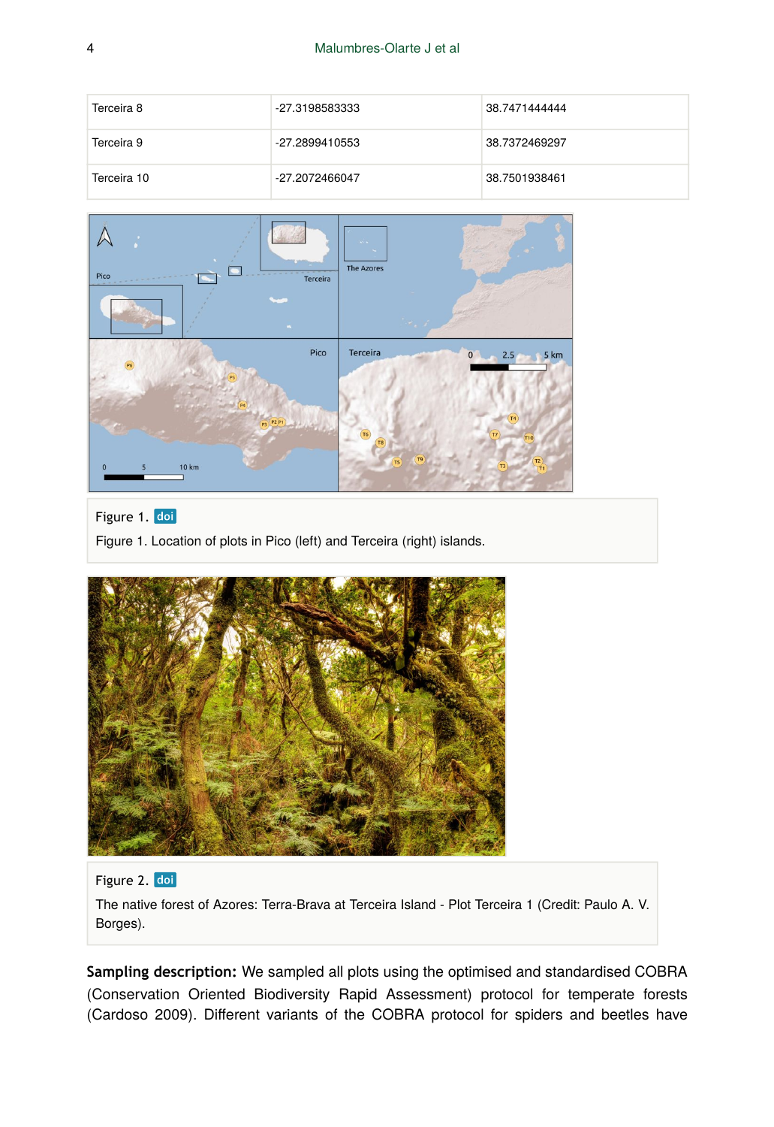| Terceira 8  | -27.3198583333 | 38.7471444444 |
|-------------|----------------|---------------|
| Terceira 9  | -27.2899410553 | 38.7372469297 |
| Terceira 10 | -27.2072466047 | 38.7501938461 |



#### Figure 1. doi

Figure 1. Location of plots in Pico (left) and Terceira (right) islands.



#### Figure 2. doi

The native forest of Azores: Terra-Brava at Terceira Island - Plot Terceira 1 (Credit: Paulo A. V. Borges).

**Sampling description:** We sampled all plots using the optimised and standardised COBRA (Conservation Oriented Biodiversity Rapid Assessment) protocol for temperate forests (Cardoso 2009). Different variants of the COBRA protocol for spiders and beetles have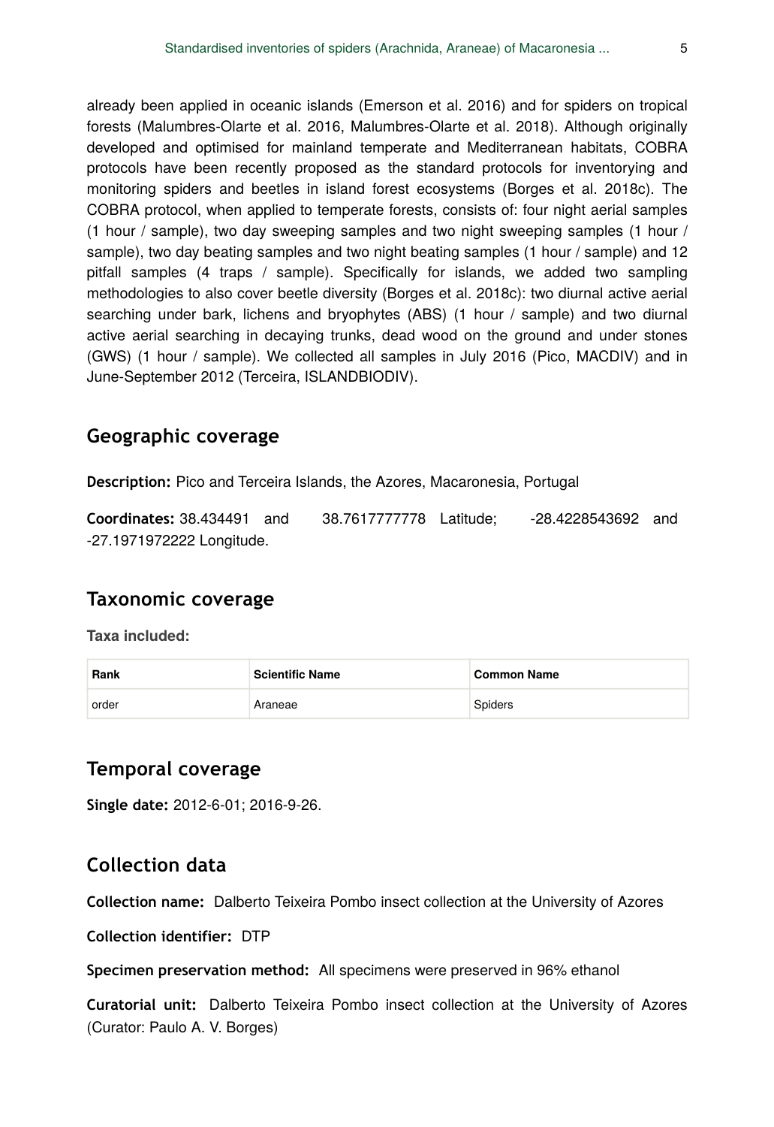already been applied in oceanic islands (Emerson et al. 2016) and for spiders on tropical forests (Malumbres-Olarte et al. 2016, Malumbres-Olarte et al. 2018). Although originally developed and optimised for mainland temperate and Mediterranean habitats, COBRA protocols have been recently proposed as the standard protocols for inventorying and monitoring spiders and beetles in island forest ecosystems (Borges et al. 2018c). The COBRA protocol, when applied to temperate forests, consists of: four night aerial samples (1 hour / sample), two day sweeping samples and two night sweeping samples (1 hour / sample), two day beating samples and two night beating samples (1 hour / sample) and 12 pitfall samples (4 traps / sample). Specifically for islands, we added two sampling methodologies to also cover beetle diversity (Borges et al. 2018c): two diurnal active aerial searching under bark, lichens and bryophytes (ABS) (1 hour / sample) and two diurnal active aerial searching in decaying trunks, dead wood on the ground and under stones (GWS) (1 hour / sample). We collected all samples in July 2016 (Pico, MACDIV) and in June-September 2012 (Terceira, ISLANDBIODIV).

# **Geographic coverage**

**Description:** Pico and Terceira Islands, the Azores, Macaronesia, Portugal

**Coordinates:** 38.434491 and 38.7617777778 Latitude; -28.4228543692 and -27.1971972222 Longitude.

# **Taxonomic coverage**

**Taxa included:**

| Rank  | <b>Scientific Name</b> | └Common Name   |
|-------|------------------------|----------------|
| order | Araneae                | <b>Spiders</b> |

# **Temporal coverage**

**Single date:** 2012-6-01; 2016-9-26.

# **Collection data**

**Collection name:** Dalberto Teixeira Pombo insect collection at the University of Azores

**Collection identifier:** DTP

**Specimen preservation method:** All specimens were preserved in 96% ethanol

**Curatorial unit:** Dalberto Teixeira Pombo insect collection at the University of Azores (Curator: Paulo A. V. Borges)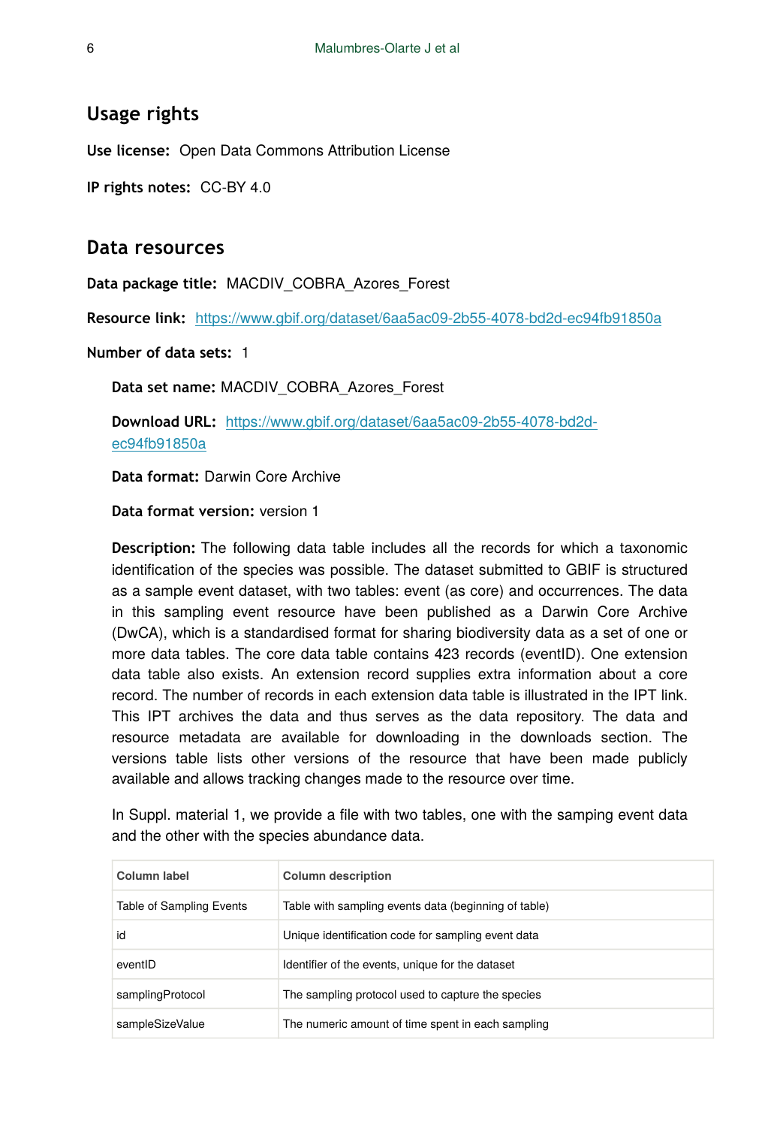#### **Usage rights**

**Use license:** Open Data Commons Attribution License

**IP rights notes:** CC-BY 4.0

#### **Data resources**

**Data package title:** MACDIV\_COBRA\_Azores\_Forest

**Resource link:** <https://www.gbif.org/dataset/6aa5ac09-2b55-4078-bd2d-ec94fb91850a>

**Number of data sets:** 1

**Data set name:** MACDIV\_COBRA\_Azores\_Forest

**Download URL:** [https://www.gbif.org/dataset/6aa5ac09-2b55-4078-bd2d](https://www.gbif.org/dataset/6aa5ac09-2b55-4078-bd2d-ec94fb91850a)[ec94fb91850a](https://www.gbif.org/dataset/6aa5ac09-2b55-4078-bd2d-ec94fb91850a)

**Data format:** Darwin Core Archive

**Data format version:** version 1

**Description:** The following data table includes all the records for which a taxonomic identification of the species was possible. The dataset submitted to GBIF is structured as a sample event dataset, with two tables: event (as core) and occurrences. The data in this sampling event resource have been published as a Darwin Core Archive (DwCA), which is a standardised format for sharing biodiversity data as a set of one or more data tables. The core data table contains 423 records (eventID). One extension data table also exists. An extension record supplies extra information about a core record. The number of records in each extension data table is illustrated in the IPT link. This IPT archives the data and thus serves as the data repository. The data and resource metadata are available for downloading in the downloads section. The versions table lists other versions of the resource that have been made publicly available and allows tracking changes made to the resource over time.

In Suppl. material 1, we provide a file with two tables, one with the samping event data and the other with the species abundance data.

| Column label             | <b>Column description</b>                            |
|--------------------------|------------------------------------------------------|
| Table of Sampling Events | Table with sampling events data (beginning of table) |
| id                       | Unique identification code for sampling event data   |
| eventID                  | Identifier of the events, unique for the dataset     |
| samplingProtocol         | The sampling protocol used to capture the species    |
| sampleSizeValue          | The numeric amount of time spent in each sampling    |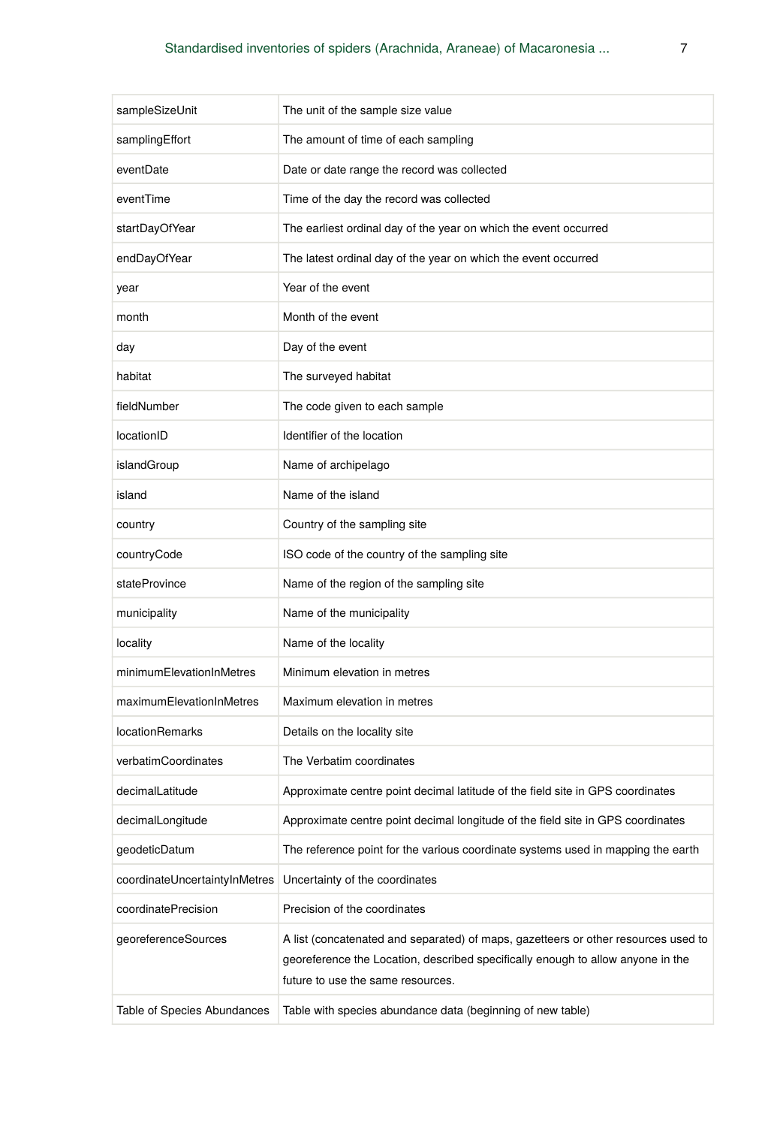| sampleSizeUnit                | The unit of the sample size value                                                                                                                                                                          |
|-------------------------------|------------------------------------------------------------------------------------------------------------------------------------------------------------------------------------------------------------|
| samplingEffort                | The amount of time of each sampling                                                                                                                                                                        |
| eventDate                     | Date or date range the record was collected                                                                                                                                                                |
| eventTime                     | Time of the day the record was collected                                                                                                                                                                   |
| startDayOfYear                | The earliest ordinal day of the year on which the event occurred                                                                                                                                           |
| endDayOfYear                  | The latest ordinal day of the year on which the event occurred                                                                                                                                             |
| year                          | Year of the event                                                                                                                                                                                          |
| month                         | Month of the event                                                                                                                                                                                         |
| day                           | Day of the event                                                                                                                                                                                           |
| habitat                       | The surveyed habitat                                                                                                                                                                                       |
| fieldNumber                   | The code given to each sample                                                                                                                                                                              |
| locationID                    | Identifier of the location                                                                                                                                                                                 |
| islandGroup                   | Name of archipelago                                                                                                                                                                                        |
| island                        | Name of the island                                                                                                                                                                                         |
| country                       | Country of the sampling site                                                                                                                                                                               |
| countryCode                   | ISO code of the country of the sampling site                                                                                                                                                               |
| stateProvince                 | Name of the region of the sampling site                                                                                                                                                                    |
| municipality                  | Name of the municipality                                                                                                                                                                                   |
| locality                      | Name of the locality                                                                                                                                                                                       |
| minimumElevationInMetres      | Minimum elevation in metres                                                                                                                                                                                |
| maximumElevationInMetres      | Maximum elevation in metres                                                                                                                                                                                |
| <b>locationRemarks</b>        | Details on the locality site                                                                                                                                                                               |
| verbatimCoordinates           | The Verbatim coordinates                                                                                                                                                                                   |
| decimalLatitude               | Approximate centre point decimal latitude of the field site in GPS coordinates                                                                                                                             |
| decimalLongitude              | Approximate centre point decimal longitude of the field site in GPS coordinates                                                                                                                            |
| geodeticDatum                 | The reference point for the various coordinate systems used in mapping the earth                                                                                                                           |
| coordinateUncertaintyInMetres | Uncertainty of the coordinates                                                                                                                                                                             |
| coordinatePrecision           | Precision of the coordinates                                                                                                                                                                               |
| georeferenceSources           | A list (concatenated and separated) of maps, gazetteers or other resources used to<br>georeference the Location, described specifically enough to allow anyone in the<br>future to use the same resources. |
| Table of Species Abundances   | Table with species abundance data (beginning of new table)                                                                                                                                                 |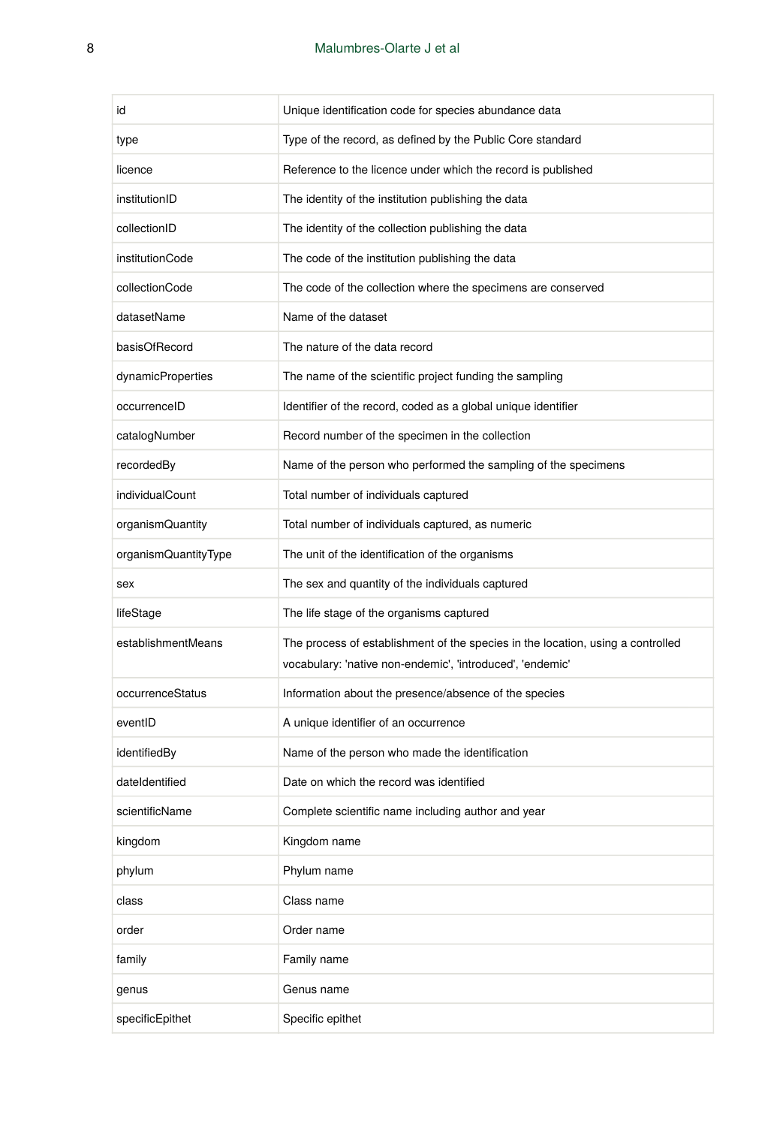| id                   | Unique identification code for species abundance data                                                                                        |
|----------------------|----------------------------------------------------------------------------------------------------------------------------------------------|
| type                 | Type of the record, as defined by the Public Core standard                                                                                   |
| licence              | Reference to the licence under which the record is published                                                                                 |
| institutionID        | The identity of the institution publishing the data                                                                                          |
| collectionID         | The identity of the collection publishing the data                                                                                           |
| institutionCode      | The code of the institution publishing the data                                                                                              |
| collectionCode       | The code of the collection where the specimens are conserved                                                                                 |
| datasetName          | Name of the dataset                                                                                                                          |
| basisOfRecord        | The nature of the data record                                                                                                                |
| dynamicProperties    | The name of the scientific project funding the sampling                                                                                      |
| occurrenceID         | Identifier of the record, coded as a global unique identifier                                                                                |
| catalogNumber        | Record number of the specimen in the collection                                                                                              |
| recordedBy           | Name of the person who performed the sampling of the specimens                                                                               |
| individualCount      | Total number of individuals captured                                                                                                         |
| organismQuantity     | Total number of individuals captured, as numeric                                                                                             |
| organismQuantityType | The unit of the identification of the organisms                                                                                              |
| sex                  | The sex and quantity of the individuals captured                                                                                             |
| lifeStage            | The life stage of the organisms captured                                                                                                     |
| establishmentMeans   | The process of establishment of the species in the location, using a controlled<br>vocabulary: 'native non-endemic', 'introduced', 'endemic' |
| occurrenceStatus     | Information about the presence/absence of the species                                                                                        |
| eventID              | A unique identifier of an occurrence                                                                                                         |
| identifiedBy         | Name of the person who made the identification                                                                                               |
| dateIdentified       | Date on which the record was identified                                                                                                      |
| scientificName       | Complete scientific name including author and year                                                                                           |
| kingdom              | Kingdom name                                                                                                                                 |
| phylum               | Phylum name                                                                                                                                  |
| class                | Class name                                                                                                                                   |
| order                | Order name                                                                                                                                   |
| family               |                                                                                                                                              |
|                      | Family name                                                                                                                                  |
| genus                | Genus name                                                                                                                                   |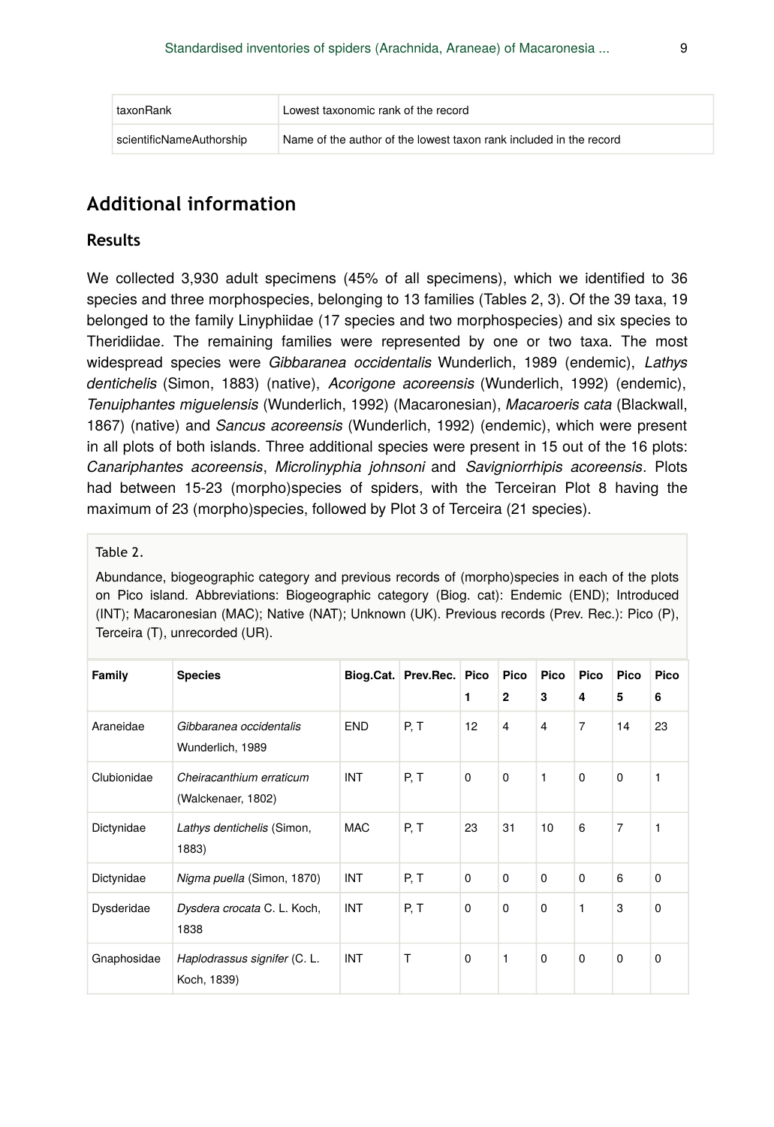| taxonRank                | Lowest taxonomic rank of the record                                |
|--------------------------|--------------------------------------------------------------------|
| scientificNameAuthorship | Name of the author of the lowest taxon rank included in the record |

# **Additional information**

#### **Results**

We collected 3,930 adult specimens (45% of all specimens), which we identified to 36 species and three morphospecies, belonging to 13 families (Tables 2, 3). Of the 39 taxa, 19 belonged to the family Linyphiidae (17 species and two morphospecies) and six species to Theridiidae. The remaining families were represented by one or two taxa. The most widespread species were *Gibbaranea occidentalis* Wunderlich, 1989 (endemic), *Lathys dentichelis* (Simon, 1883) (native), *Acorigone acoreensis* (Wunderlich, 1992) (endemic), *Tenuiphantes miguelensis* (Wunderlich, 1992) (Macaronesian), *Macaroeris cata* (Blackwall, 1867) (native) and *Sancus acoreensis* (Wunderlich, 1992) (endemic), which were present in all plots of both islands. Three additional species were present in 15 out of the 16 plots: *Canariphantes acoreensis*, *Microlinyphia johnsoni* and *Savigniorrhipis acoreensis*. Plots had between 15-23 (morpho)species of spiders, with the Terceiran Plot 8 having the maximum of 23 (morpho)species, followed by Plot 3 of Terceira (21 species).

#### Table 2.

Abundance, biogeographic category and previous records of (morpho)species in each of the plots on Pico island. Abbreviations: Biogeographic category (Biog. cat): Endemic (END); Introduced (INT); Macaronesian (MAC); Native (NAT); Unknown (UK). Previous records (Prev. Rec.): Pico (P), Terceira (T), unrecorded (UR).

| Family      | <b>Species</b>                                 |            | Biog.Cat. Prev.Rec. Pico | 1           | Pico<br>$\overline{2}$  | <b>Pico</b><br>3 | Pico<br>4   | Pico<br>5   | Pico<br>6   |
|-------------|------------------------------------------------|------------|--------------------------|-------------|-------------------------|------------------|-------------|-------------|-------------|
| Araneidae   | Gibbaranea occidentalis<br>Wunderlich, 1989    | <b>END</b> | P, T                     | 12          | $\overline{\mathbf{4}}$ | 4                | 7           | 14          | 23          |
| Clubionidae | Cheiracanthium erraticum<br>(Walckenaer, 1802) | INT        | P, T                     | $\mathbf 0$ | $\mathbf 0$             | 1                | $\mathbf 0$ | $\mathbf 0$ | 1           |
| Dictynidae  | Lathys dentichelis (Simon,<br>1883)            | <b>MAC</b> | P. T                     | 23          | 31                      | 10               | 6           | 7           | 1           |
| Dictynidae  | Nigma puella (Simon, 1870)                     | INT        | P, T                     | $\Omega$    | $\Omega$                | $\Omega$         | $\Omega$    | 6           | $\Omega$    |
| Dysderidae  | Dysdera crocata C. L. Koch,<br>1838            | INT        | P.T                      | $\mathbf 0$ | $\mathbf 0$             | $\Omega$         | 1           | 3           | $\mathbf 0$ |
| Gnaphosidae | Haplodrassus signifer (C. L.<br>Koch, 1839)    | INT        | T                        | $\Omega$    | 1                       | $\Omega$         | $\Omega$    | $\Omega$    | $\Omega$    |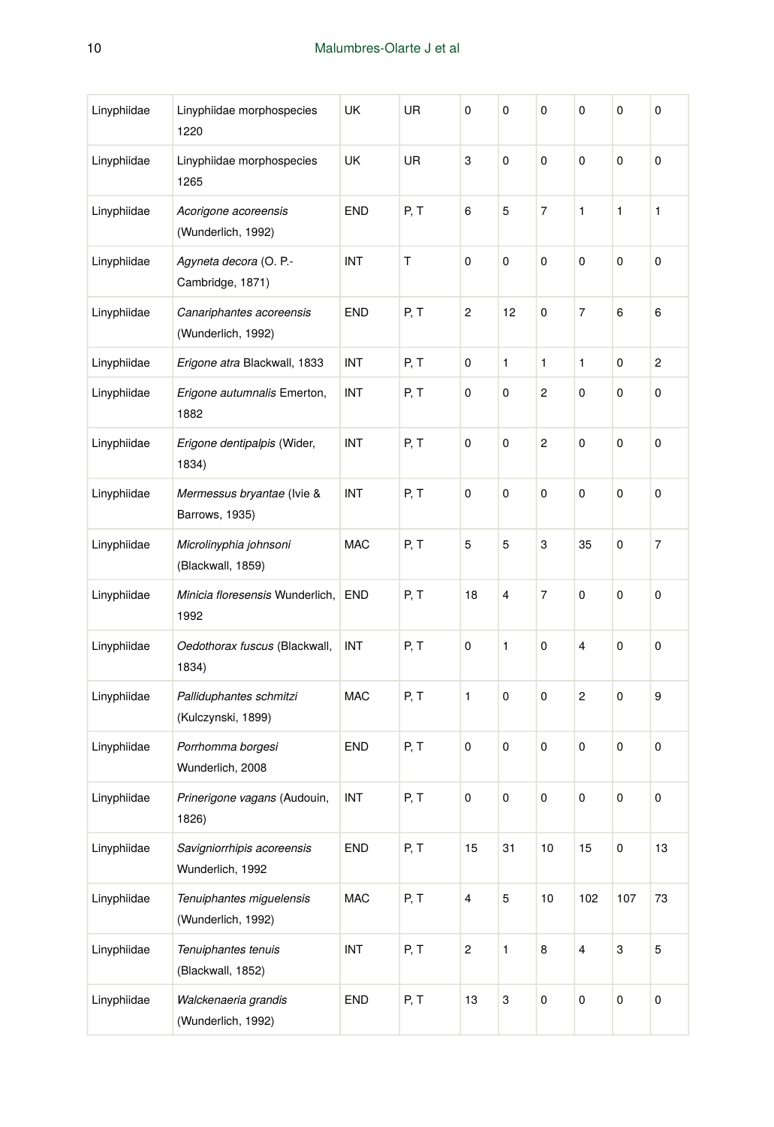| Linyphiidae | Linyphiidae morphospecies<br>1220              | UK         | UR   | 0                       | 0  | $\mathbf 0$    | 0                       | 0         | 0              |
|-------------|------------------------------------------------|------------|------|-------------------------|----|----------------|-------------------------|-----------|----------------|
| Linyphiidae | Linyphiidae morphospecies<br>1265              | UK         | UR   | 3                       | 0  | $\mathbf 0$    | $\pmb{0}$               | 0         | $\mathbf 0$    |
| Linyphiidae | Acorigone acoreensis<br>(Wunderlich, 1992)     | <b>END</b> | P, T | 6                       | 5  | 7              | 1                       | 1         | 1              |
| Linyphiidae | Agyneta decora (O. P.-<br>Cambridge, 1871)     | INT        | т    | 0                       | 0  | $\mathbf 0$    | 0                       | 0         | $\mathbf 0$    |
| Linyphiidae | Canariphantes acoreensis<br>(Wunderlich, 1992) | END        | P, T | 2                       | 12 | $\mathbf 0$    | 7                       | 6         | 6              |
| Linyphiidae | Erigone atra Blackwall, 1833                   | INT        | P, T | 0                       | 1  | 1              | $\mathbf{1}$            | 0         | $\overline{c}$ |
| Linyphiidae | Erigone autumnalis Emerton,<br>1882            | INT        | P, T | 0                       | 0  | $\overline{c}$ | 0                       | 0         | 0              |
| Linyphiidae | Erigone dentipalpis (Wider,<br>1834)           | INT        | P, T | 0                       | 0  | $\overline{c}$ | $\pmb{0}$               | 0         | 0              |
| Linyphiidae | Mermessus bryantae (Ivie &<br>Barrows, 1935)   | INT        | P, T | 0                       | 0  | $\pmb{0}$      | $\pmb{0}$               | 0         | 0              |
| Linyphiidae | Microlinyphia johnsoni<br>(Blackwall, 1859)    | <b>MAC</b> | P, T | 5                       | 5  | 3              | 35                      | 0         | $\overline{7}$ |
| Linyphiidae | Minicia floresensis Wunderlich,<br>1992        | <b>END</b> | P, T | 18                      | 4  | 7              | 0                       | 0         | $\mathbf 0$    |
| Linyphiidae | Oedothorax fuscus (Blackwall,<br>1834)         | INT        | P, T | 0                       | 1  | $\mathbf 0$    | $\overline{4}$          | 0         | $\mathbf 0$    |
| Linyphiidae | Palliduphantes schmitzi<br>(Kulczynski, 1899)  | <b>MAC</b> | P, T | 1                       | 0  | 0              | $\overline{c}$          | 0         | 9              |
| Linyphiidae | Porrhomma borgesi<br>Wunderlich, 2008          | END        | P, T | 0                       | 0  | 0              | 0                       | 0         | $\mathbf 0$    |
| Linyphiidae | Prinerigone vagans (Audouin,<br>1826)          | INT        | P, T | 0                       | 0  | $\mathbf 0$    | $\pmb{0}$               | 0         | $\mathbf 0$    |
| Linyphiidae | Savigniorrhipis acoreensis<br>Wunderlich, 1992 | END        | P, T | 15                      | 31 | $10$           | 15                      | $\pmb{0}$ | 13             |
| Linyphiidae | Tenuiphantes miguelensis<br>(Wunderlich, 1992) | <b>MAC</b> | P, T | $\overline{\mathbf{4}}$ | 5  | 10             | 102                     | 107       | 73             |
| Linyphiidae | Tenuiphantes tenuis<br>(Blackwall, 1852)       | INT        | P, T | 2                       | 1  | 8              | $\overline{\mathbf{4}}$ | 3         | 5              |
| Linyphiidae | Walckenaeria grandis<br>(Wunderlich, 1992)     | END        | P, T | 13                      | 3  | $\pmb{0}$      | $\pmb{0}$               | 0         | 0              |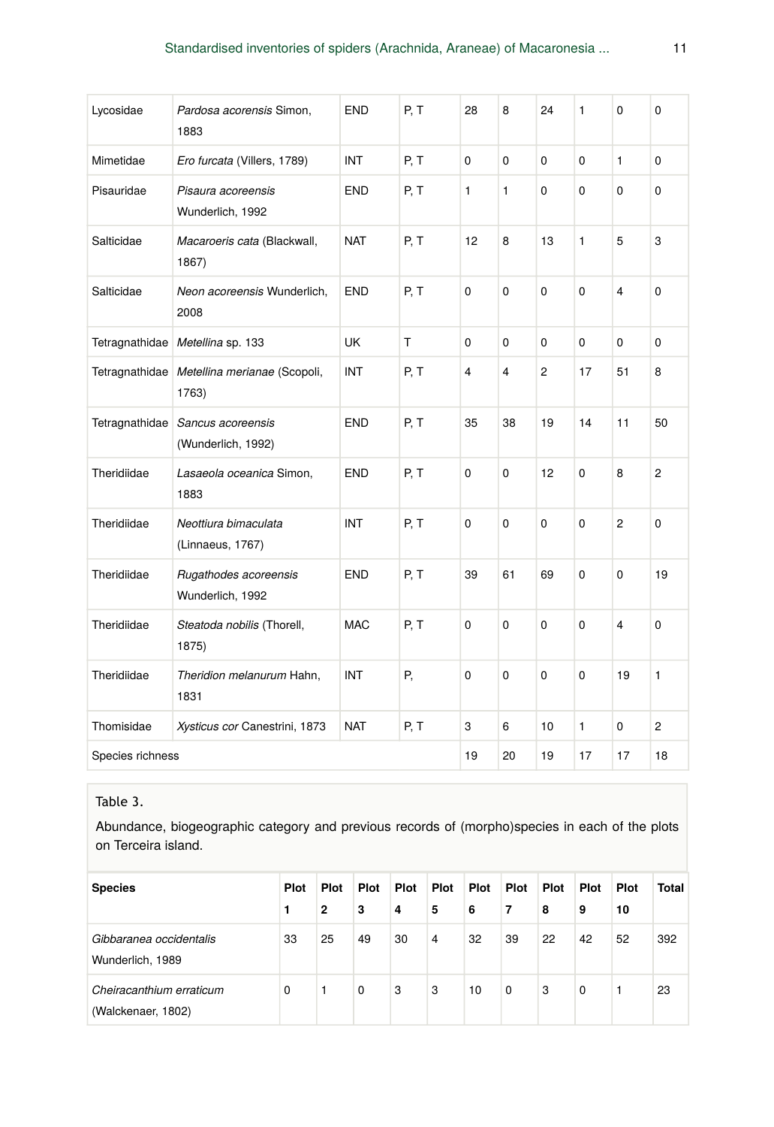| Lycosidae        | Pardosa acorensis Simon,<br>1883          | <b>END</b> | P, T | 28 | 8  | 24             | 1            | 0              | $\mathbf 0$    |
|------------------|-------------------------------------------|------------|------|----|----|----------------|--------------|----------------|----------------|
| Mimetidae        | Ero furcata (Villers, 1789)               | <b>INT</b> | P, T | 0  | 0  | $\mathbf 0$    | $\Omega$     | $\mathbf{1}$   | $\mathbf 0$    |
| Pisauridae       | Pisaura acoreensis<br>Wunderlich, 1992    | <b>END</b> | P, T | 1  | 1  | $\mathbf 0$    | $\mathbf{0}$ | $\Omega$       | $\Omega$       |
| Salticidae       | Macaroeris cata (Blackwall,<br>1867)      | <b>NAT</b> | P, T | 12 | 8  | 13             | 1            | 5              | 3              |
| Salticidae       | Neon acoreensis Wunderlich,<br>2008       | <b>END</b> | P, T | 0  | 0  | $\mathbf 0$    | $\Omega$     | $\overline{4}$ | $\Omega$       |
| Tetragnathidae   | Metellina sp. 133                         | <b>UK</b>  | T    | 0  | 0  | $\mathbf 0$    | 0            | 0              | 0              |
| Tetragnathidae   | Metellina merianae (Scopoli,<br>1763)     | INT        | P, T | 4  | 4  | $\overline{c}$ | 17           | 51             | 8              |
| Tetragnathidae   | Sancus acoreensis<br>(Wunderlich, 1992)   | <b>END</b> | P, T | 35 | 38 | 19             | 14           | 11             | 50             |
| Theridiidae      | Lasaeola oceanica Simon,<br>1883          | <b>END</b> | P, T | 0  | 0  | 12             | $\mathbf{0}$ | 8              | $\overline{2}$ |
| Theridiidae      | Neottiura bimaculata<br>(Linnaeus, 1767)  | INT        | P, T | 0  | 0  | $\mathbf 0$    | 0            | $\overline{c}$ | $\mathbf 0$    |
| Theridiidae      | Rugathodes acoreensis<br>Wunderlich, 1992 | <b>END</b> | P, T | 39 | 61 | 69             | $\Omega$     | $\Omega$       | 19             |
| Theridiidae      | Steatoda nobilis (Thorell,<br>1875)       | <b>MAC</b> | P, T | 0  | 0  | $\mathbf 0$    | 0            | $\overline{4}$ | $\Omega$       |
| Theridiidae      | Theridion melanurum Hahn,<br>1831         | INT        | Ρ,   | 0  | 0  | $\mathbf 0$    | 0            | 19             | $\mathbf{1}$   |
| Thomisidae       | Xysticus cor Canestrini, 1873             | <b>NAT</b> | P, T | 3  | 6  | 10             | $\mathbf{1}$ | 0              | $\overline{c}$ |
| Species richness | 19                                        | 20         | 19   | 17 | 17 | 18             |              |                |                |

#### Table 3.

Abundance, biogeographic category and previous records of (morpho)species in each of the plots on Terceira island.

| <b>Species</b>                                 | <b>Plot</b><br>п | <b>Plot</b><br>2 | Plot<br>3 | Plot<br>4 | Plot<br>5      | <b>Plot</b><br>6 | Plot<br>7 | Plot<br>8 | Plot<br>9 | <b>Plot</b><br>10 | Total |
|------------------------------------------------|------------------|------------------|-----------|-----------|----------------|------------------|-----------|-----------|-----------|-------------------|-------|
| Gibbaranea occidentalis<br>Wunderlich, 1989    | 33               | 25               | 49        | 30        | $\overline{4}$ | 32               | 39        | 22        | 42        | 52                | 392   |
| Cheiracanthium erraticum<br>(Walckenaer, 1802) | $\Omega$         | 1                | 0         | 3         | 3              | 10               | 0         | 3         | 0         |                   | 23    |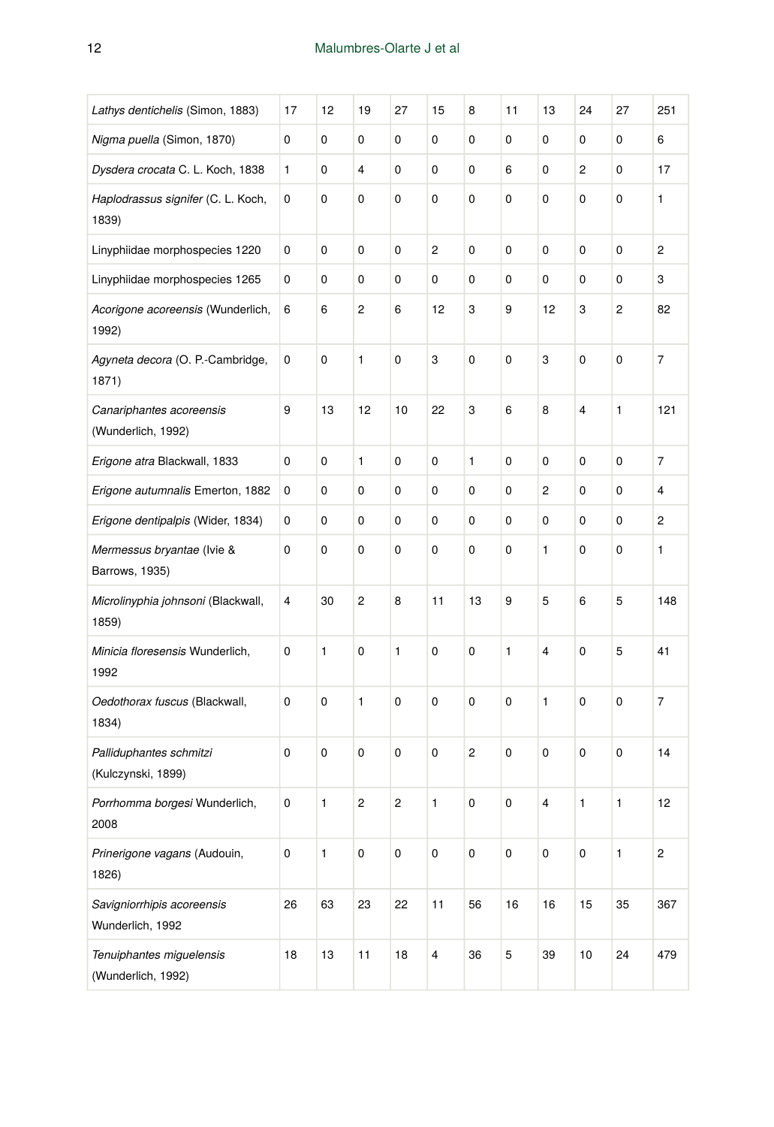| Lathys dentichelis (Simon, 1883)               | 17             | 12           | 19             | 27        | 15        | 8              | 11          | 13             | 24        | 27 | 251 |
|------------------------------------------------|----------------|--------------|----------------|-----------|-----------|----------------|-------------|----------------|-----------|----|-----|
| Nigma puella (Simon, 1870)                     | 0              | 0            | 0              | 0         | 0         | 0              | 0           | 0              | 0         | 0  | 6   |
| Dysdera crocata C. L. Koch, 1838               | 1              | 0            | 4              | 0         | 0         | 0              | 6           | 0              | 2         | 0  | 17  |
| Haplodrassus signifer (C. L. Koch,<br>1839)    | 0              | 0            | 0              | 0         | 0         | 0              | 0           | 0              | 0         | 0  | 1   |
| Linyphiidae morphospecies 1220                 | 0              | 0            | 0              | 0         | 2         | 0              | 0           | 0              | 0         | 0  | 2   |
| Linyphiidae morphospecies 1265                 | 0              | 0            | 0              | 0         | 0         | 0              | 0           | 0              | 0         | 0  | 3   |
| Acorigone acoreensis (Wunderlich,<br>1992)     | 6              | 6            | 2              | 6         | 12        | 3              | 9           | 12             | 3         | 2  | 82  |
| Agyneta decora (O. P.-Cambridge,<br>1871)      | 0              | 0            | 1              | 0         | 3         | $\pmb{0}$      | 0           | 3              | $\pmb{0}$ | 0  | 7   |
| Canariphantes acoreensis<br>(Wunderlich, 1992) | 9              | 13           | 12             | 10        | 22        | 3              | 6           | 8              | 4         | 1  | 121 |
| Erigone atra Blackwall, 1833                   | 0              | 0            | 1              | 0         | 0         | 1              | 0           | 0              | 0         | 0  | 7   |
| Erigone autumnalis Emerton, 1882               | 0              | 0            | 0              | 0         | 0         | $\mathbf 0$    | 0           | $\overline{c}$ | 0         | 0  | 4   |
| Erigone dentipalpis (Wider, 1834)              | 0              | 0            | 0              | 0         | 0         | 0              | 0           | 0              | 0         | 0  | 2   |
| Mermessus bryantae (Ivie &<br>Barrows, 1935)   | 0              | 0            | 0              | 0         | 0         | 0              | 0           | 1              | 0         | 0  | 1   |
| Microlinyphia johnsoni (Blackwall,<br>1859)    | $\overline{4}$ | 30           | $\overline{c}$ | 8         | 11        | 13             | 9           | 5              | 6         | 5  | 148 |
| Minicia floresensis Wunderlich,<br>1992        | $\mathbf 0$    | $\mathbf{1}$ | 0              | 1         | 0         | $\pmb{0}$      | 1           | $\overline{4}$ | 0         | 5  | 41  |
| Oedothorax fuscus (Blackwall,<br>1834)         | $\mathbf 0$    | 0            | 1              | 0         | 0         | $\pmb{0}$      | 0           | $\mathbf{1}$   | 0         | 0  | 7   |
| Palliduphantes schmitzi<br>(Kulczynski, 1899)  | $\mathbf 0$    | 0            | 0              | 0         | 0         | $\overline{c}$ | 0           | $\mathbf 0$    | 0         | 0  | 14  |
| Porrhomma borgesi Wunderlich,<br>2008          | 0              | 1            | 2              | 2         | 1         | 0              | 0           | 4              | 1         | 1  | 12  |
| Prinerigone vagans (Audouin,<br>1826)          | 0              | 1            | 0              | $\pmb{0}$ | $\pmb{0}$ | $\pmb{0}$      | 0           | $\pmb{0}$      | $\pmb{0}$ | 1  | 2   |
| Savigniorrhipis acoreensis<br>Wunderlich, 1992 | 26             | 63           | 23             | 22        | 11        | 56             | 16          | 16             | 15        | 35 | 367 |
| Tenuiphantes miguelensis<br>(Wunderlich, 1992) | 18             | 13           | 11             | 18        | $\pmb{4}$ | 36             | $\mathbf 5$ | 39             | $10\,$    | 24 | 479 |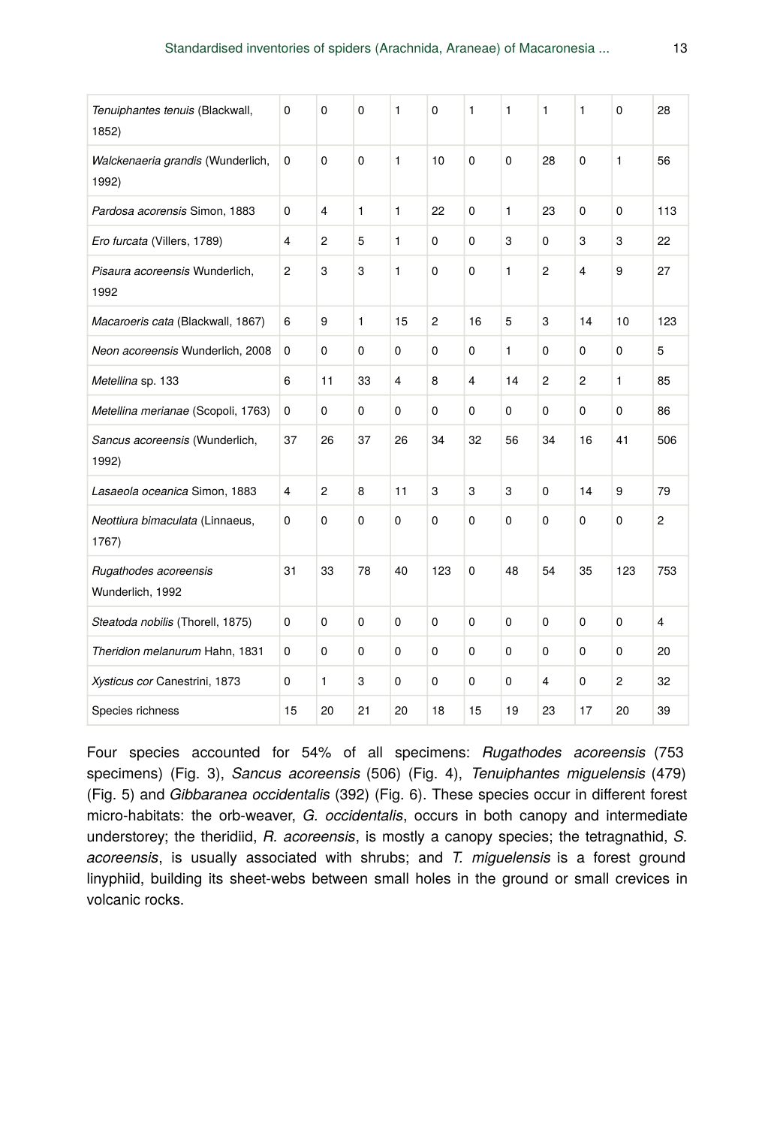| Tenuiphantes tenuis (Blackwall,<br>1852)   | 0              | 0              | 0  | 1           | 0              | 1            | 1  | 1              | 1              | 0   | 28             |
|--------------------------------------------|----------------|----------------|----|-------------|----------------|--------------|----|----------------|----------------|-----|----------------|
| Walckenaeria grandis (Wunderlich,<br>1992) | 0              | 0              | 0  | 1           | 10             | $\Omega$     | 0  | 28             | 0              | 1   | 56             |
| Pardosa acorensis Simon, 1883              | $\Omega$       | 4              | 1  | 1           | 22             | $\Omega$     | 1  | 23             | 0              | 0   | 113            |
| Ero furcata (Villers, 1789)                | 4              | $\overline{c}$ | 5  | 1           | 0              | 0            | 3  | 0              | 3              | 3   | 22             |
| Pisaura acoreensis Wunderlich,<br>1992     | $\overline{2}$ | 3              | 3  | 1           | $\Omega$       | $\mathbf{0}$ | 1  | $\overline{2}$ | 4              | 9   | 27             |
| Macaroeris cata (Blackwall, 1867)          | 6              | 9              | 1  | 15          | $\overline{2}$ | 16           | 5  | 3              | 14             | 10  | 123            |
| Neon acoreensis Wunderlich, 2008           | 0              | $\Omega$       | 0  | 0           | 0              | $\Omega$     | 1  | 0              | 0              | 0   | 5              |
| Metellina sp. 133                          | 6              | 11             | 33 | 4           | 8              | 4            | 14 | $\overline{2}$ | $\overline{2}$ | 1   | 85             |
| Metellina merianae (Scopoli, 1763)         | 0              | 0              | 0  | 0           | 0              | 0            | 0  | 0              | 0              | 0   | 86             |
| Sancus acoreensis (Wunderlich,<br>1992)    | 37             | 26             | 37 | 26          | 34             | 32           | 56 | 34             | 16             | 41  | 506            |
| Lasaeola oceanica Simon, 1883              | 4              | 2              | 8  | 11          | 3              | 3            | 3  | $\Omega$       | 14             | 9   | 79             |
| Neottiura bimaculata (Linnaeus,<br>1767)   | 0              | 0              | 0  | 0           | $\mathbf 0$    | 0            | 0  | $\Omega$       | 0              | 0   | $\overline{c}$ |
| Rugathodes acoreensis<br>Wunderlich, 1992  | 31             | 33             | 78 | 40          | 123            | $\mathbf 0$  | 48 | 54             | 35             | 123 | 753            |
| Steatoda nobilis (Thorell, 1875)           | $\Omega$       | 0              | 0  | $\mathbf 0$ | $\mathbf 0$    | $\Omega$     | 0  | $\Omega$       | $\Omega$       | 0   | 4              |
| Theridion melanurum Hahn, 1831             | 0              | 0              | 0  | 0           | 0              | $\mathbf 0$  | 0  | $\Omega$       | $\Omega$       | 0   | 20             |
| Xysticus cor Canestrini, 1873              | 0              | 1              | 3  | 0           | 0              | $\Omega$     | 0  | 4              | 0              | 2   | 32             |
| Species richness                           | 15             | 20             | 21 | 20          | 18             | 15           | 19 | 23             | 17             | 20  | 39             |

Four species accounted for 54% of all specimens: *Rugathodes acoreensis* (753 specimens) (Fig. 3), *Sancus acoreensis* (506) (Fig. 4), *Tenuiphantes miguelensis* (479) (Fig. 5) and *Gibbaranea occidentalis* (392) (Fig. 6). These species occur in different forest micro-habitats: the orb-weaver, *G. occidentalis*, occurs in both canopy and intermediate understorey; the theridiid, *R. acoreensis*, is mostly a canopy species; the tetragnathid, *S. acoreensis*, is usually associated with shrubs; and *T. miguelensis* is a forest ground linyphiid, building its sheet-webs between small holes in the ground or small crevices in volcanic rocks.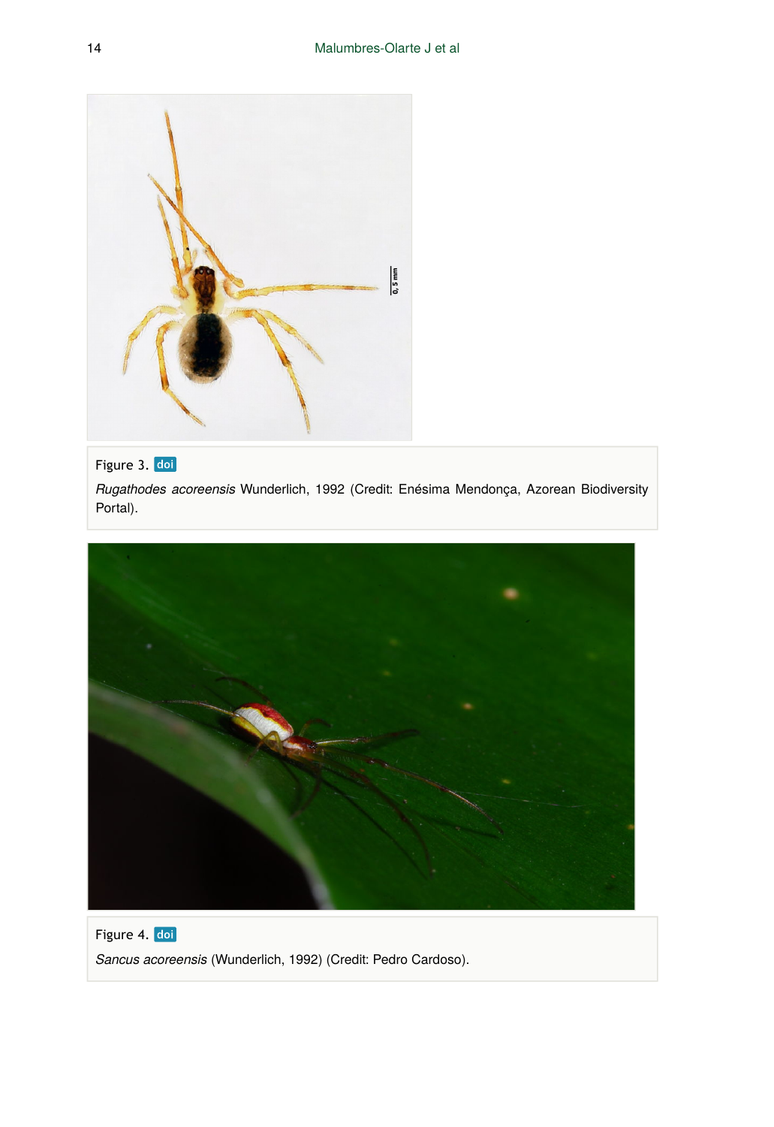

## Figure 3. doi

*Rugathodes acoreensis* Wunderlich, 1992 (Credit: Enésima Mendonça, Azorean Biodiversity Portal).



Figure 4. doi *Sancus acoreensis* (Wunderlich, 1992) (Credit: Pedro Cardoso).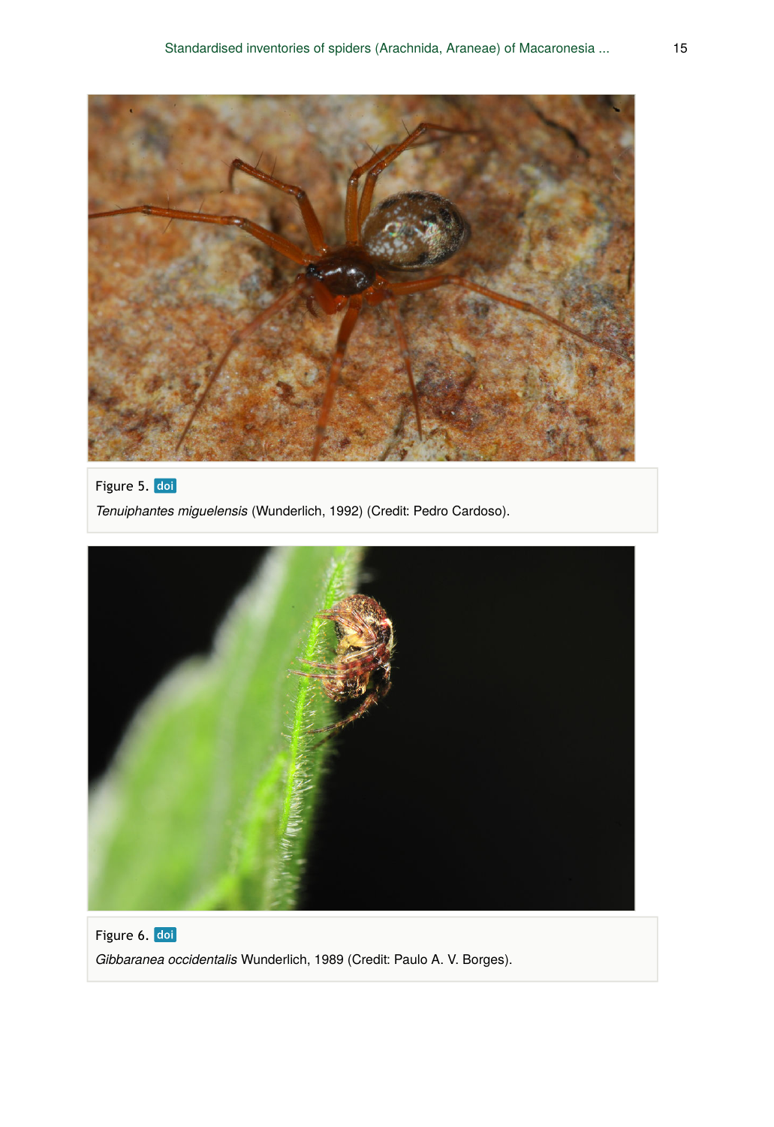

## Figure 5. doi

*Tenuiphantes miguelensis* (Wunderlich, 1992) (Credit: Pedro Cardoso).



Figure 6. doi *Gibbaranea occidentalis* Wunderlich, 1989 (Credit: Paulo A. V. Borges).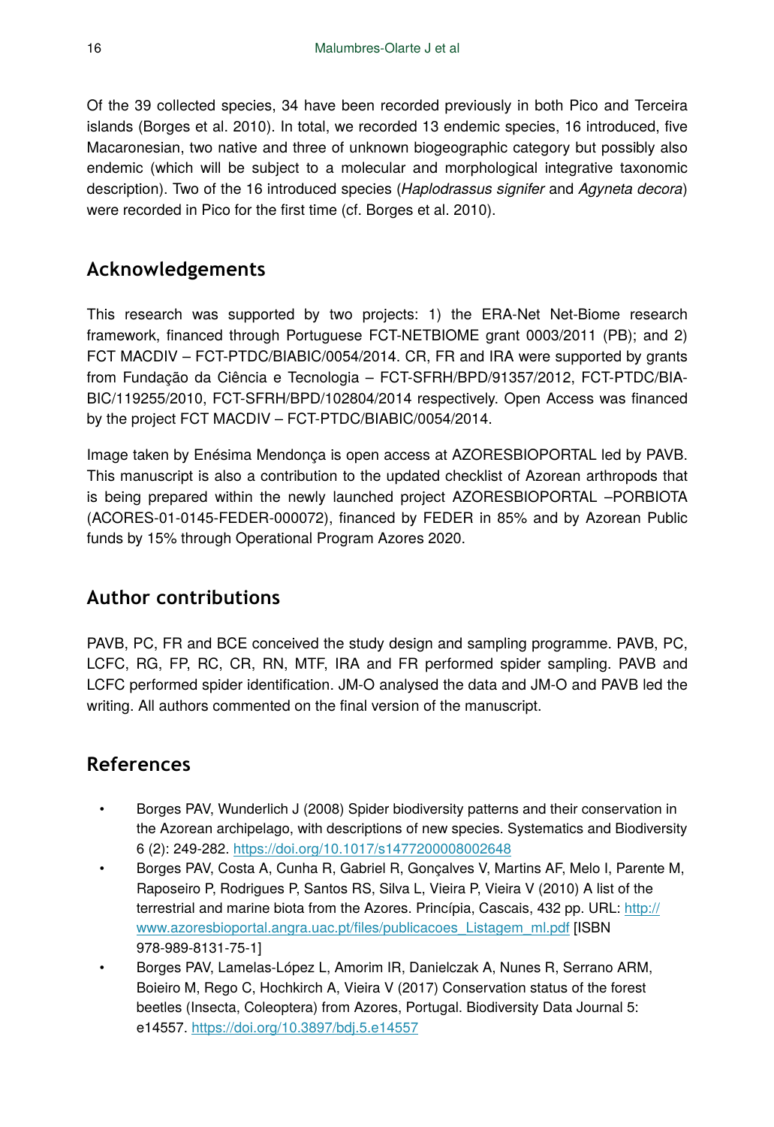Of the 39 collected species, 34 have been recorded previously in both Pico and Terceira islands (Borges et al. 2010). In total, we recorded 13 endemic species, 16 introduced, five Macaronesian, two native and three of unknown biogeographic category but possibly also endemic (which will be subject to a molecular and morphological integrative taxonomic description). Two of the 16 introduced species (*Haplodrassus signifer* and *Agyneta decora*) were recorded in Pico for the first time (cf. Borges et al. 2010).

# **Acknowledgements**

This research was supported by two projects: 1) the ERA-Net Net-Biome research framework, financed through Portuguese FCT-NETBIOME grant 0003/2011 (PB); and 2) FCT MACDIV – FCT-PTDC/BIABIC/0054/2014. CR, FR and IRA were supported by grants from Fundação da Ciência e Tecnologia – FCT-SFRH/BPD/91357/2012, FCT-PTDC/BIA-BIC/119255/2010, FCT-SFRH/BPD/102804/2014 respectively. Open Access was financed by the project FCT MACDIV – FCT-PTDC/BIABIC/0054/2014.

Image taken by Enésima Mendonça is open access at AZORESBIOPORTAL led by PAVB. This manuscript is also a contribution to the updated checklist of Azorean arthropods that is being prepared within the newly launched project AZORESBIOPORTAL –PORBIOTA (ACORES-01-0145-FEDER-000072), financed by FEDER in 85% and by Azorean Public funds by 15% through Operational Program Azores 2020.

# **Author contributions**

PAVB, PC, FR and BCE conceived the study design and sampling programme. PAVB, PC, LCFC, RG, FP, RC, CR, RN, MTF, IRA and FR performed spider sampling. PAVB and LCFC performed spider identification. JM-O analysed the data and JM-O and PAVB led the writing. All authors commented on the final version of the manuscript.

# **References**

- Borges PAV, Wunderlich J (2008) Spider biodiversity patterns and their conservation in the Azorean archipelago, with descriptions of new species. Systematics and Biodiversity 6 (2): 249‑282. <https://doi.org/10.1017/s1477200008002648>
- Borges PAV, Costa A, Cunha R, Gabriel R, Gonçalves V, Martins AF, Melo I, Parente M, Raposeiro P, Rodrigues P, Santos RS, Silva L, Vieira P, Vieira V (2010) A list of the terrestrial and marine biota from the Azores. Princípia, Cascais, 432 pp. URL: [http://](http://www.azoresbioportal.angra.uac.pt/files/publicacoes_Listagem_ml.pdf) [www.azoresbioportal.angra.uac.pt/](http://www.azoresbioportal.angra.uac.pt/files/publicacoes_Listagem_ml.pdf)files/publicacoes\_Listagem\_ml.pdf [ISBN 978-989-8131-75-1]
- Borges PAV, Lamelas-López L, Amorim IR, Danielczak A, Nunes R, Serrano ARM, Boieiro M, Rego C, Hochkirch A, Vieira V (2017) Conservation status of the forest beetles (Insecta, Coleoptera) from Azores, Portugal. Biodiversity Data Journal 5: e14557. <https://doi.org/10.3897/bdj.5.e14557>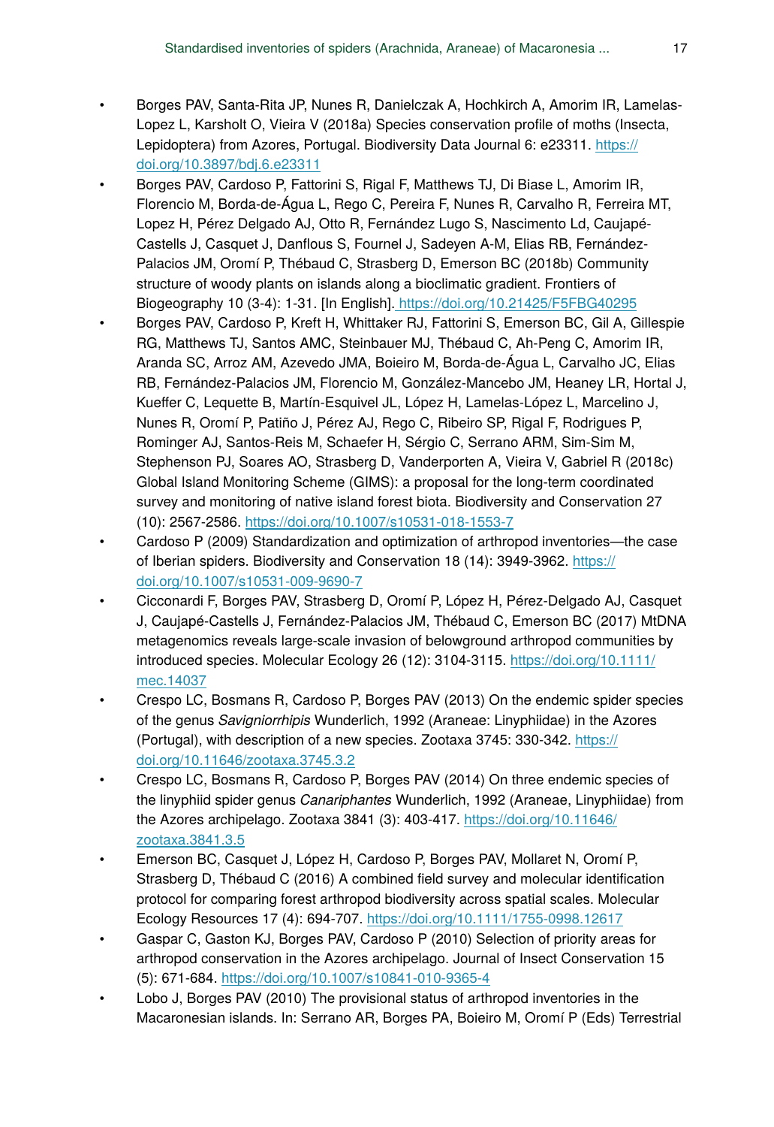- Borges PAV, Santa-Rita JP, Nunes R, Danielczak A, Hochkirch A, Amorim IR, Lamelas-Lopez L, Karsholt O, Vieira V (2018a) Species conservation profile of moths (Insecta, Lepidoptera) from Azores, Portugal. Biodiversity Data Journal 6: e23311. [https://](https://doi.org/10.3897/bdj.6.e23311) [doi.org/10.3897/bdj.6.e23311](https://doi.org/10.3897/bdj.6.e23311)
- Borges PAV, Cardoso P, Fattorini S, Rigal F, Matthews TJ, Di Biase L, Amorim IR, Florencio M, Borda-de-Água L, Rego C, Pereira F, Nunes R, Carvalho R, Ferreira MT, Lopez H, Pérez Delgado AJ, Otto R, Fernández Lugo S, Nascimento Ld, Caujapé-Castells J, Casquet J, Danflous S, Fournel J, Sadeyen A-M, Elias RB, Fernández-Palacios JM, Oromí P, Thébaud C, Strasberg D, Emerson BC (2018b) Community structure of woody plants on islands along a bioclimatic gradient. Frontiers of Biogeography 10 (3-4): 1‑31. [In English].<https://doi.org/10.21425/F5FBG40295>
- Borges PAV, Cardoso P, Kreft H, Whittaker RJ, Fattorini S, Emerson BC, Gil A, Gillespie RG, Matthews TJ, Santos AMC, Steinbauer MJ, Thébaud C, Ah-Peng C, Amorim IR, Aranda SC, Arroz AM, Azevedo JMA, Boieiro M, Borda-de-Água L, Carvalho JC, Elias RB, Fernández-Palacios JM, Florencio M, González-Mancebo JM, Heaney LR, Hortal J, Kueffer C, Lequette B, Martín-Esquivel JL, López H, Lamelas-López L, Marcelino J, Nunes R, Oromí P, Patiño J, Pérez AJ, Rego C, Ribeiro SP, Rigal F, Rodrigues P, Rominger AJ, Santos-Reis M, Schaefer H, Sérgio C, Serrano ARM, Sim-Sim M, Stephenson PJ, Soares AO, Strasberg D, Vanderporten A, Vieira V, Gabriel R (2018c) Global Island Monitoring Scheme (GIMS): a proposal for the long-term coordinated survey and monitoring of native island forest biota. Biodiversity and Conservation 27 (10): 2567‑2586.<https://doi.org/10.1007/s10531-018-1553-7>
- Cardoso P (2009) Standardization and optimization of arthropod inventories—the case of Iberian spiders. Biodiversity and Conservation 18 (14): 3949-3962. [https://](https://doi.org/10.1007/s10531-009-9690-7) [doi.org/10.1007/s10531-009-9690-7](https://doi.org/10.1007/s10531-009-9690-7)
- Cicconardi F, Borges PAV, Strasberg D, Oromí P, López H, Pérez-Delgado AJ, Casquet J, Caujapé-Castells J, Fernández-Palacios JM, Thébaud C, Emerson BC (2017) MtDNA metagenomics reveals large-scale invasion of belowground arthropod communities by introduced species. Molecular Ecology 26 (12): 3104-3115. [https://doi.org/10.1111/](https://doi.org/10.1111/mec.14037) [mec.14037](https://doi.org/10.1111/mec.14037)
- Crespo LC, Bosmans R, Cardoso P, Borges PAV (2013) On the endemic spider species of the genus *Savigniorrhipis* Wunderlich, 1992 (Araneae: Linyphiidae) in the Azores (Portugal), with description of a new species. Zootaxa 3745: 330‑342. [https://](https://doi.org/10.11646/zootaxa.3745.3.2) [doi.org/10.11646/zootaxa.3745.3.2](https://doi.org/10.11646/zootaxa.3745.3.2)
- Crespo LC, Bosmans R, Cardoso P, Borges PAV (2014) On three endemic species of the linyphiid spider genus *Canariphantes* Wunderlich, 1992 (Araneae, Linyphiidae) from the Azores archipelago. Zootaxa 3841 (3): 403‑417. [https://doi.org/10.11646/](https://doi.org/10.11646/zootaxa.3841.3.5) [zootaxa.3841.3.5](https://doi.org/10.11646/zootaxa.3841.3.5)
- Emerson BC, Casquet J, López H, Cardoso P, Borges PAV, Mollaret N, Oromí P, Strasberg D, Thébaud C (2016) A combined field survey and molecular identification protocol for comparing forest arthropod biodiversity across spatial scales. Molecular Ecology Resources 17 (4): 694‑707. <https://doi.org/10.1111/1755-0998.12617>
- Gaspar C, Gaston KJ, Borges PAV, Cardoso P (2010) Selection of priority areas for arthropod conservation in the Azores archipelago. Journal of Insect Conservation 15 (5): 671‑684. <https://doi.org/10.1007/s10841-010-9365-4>
- Lobo J, Borges PAV (2010) The provisional status of arthropod inventories in the Macaronesian islands. In: Serrano AR, Borges PA, Boieiro M, Oromí P (Eds) Terrestrial